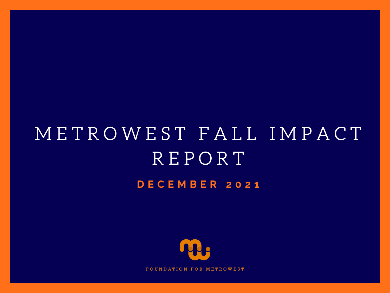# **D E C E M B E R 2 0 2 1** M E T R O W E S T F A L L I M P A C T R E P O R T



UNDATION FOR METROWEST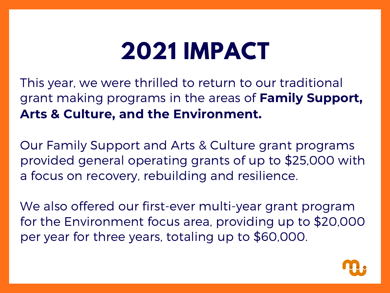# **2021 IMPACT**

This year, we were thrilled to return to our traditional grant making programs in the areas of **Family Support, Arts & Culture, and the Environment.**

Our Family Support and Arts & Culture grant programs provided general operating grants of up to \$25,000 with a focus on recovery, rebuilding and resilience.

We also offered our first-ever multi-year grant program for the Environment focus area, providing up to \$20,000 per year for three years, totaling up to \$60,000.

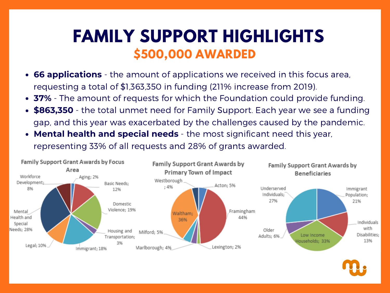### **FAMILY SUPPORT HIGHLIGHTS \$500,000 AWARDED**

- **66 applications** the amount of applications we received in this focus area, requesting a total of \$1,363,350 in funding (211% increase from 2019).
- **37%** The amount of requests for which the Foundation could provide funding.
- **\$863,350** the total unmet need for Family Support. Each year we see a funding gap, and this year was exacerbated by the challenges caused by the pandemic.
- **Mental health and special needs** the most significant need this year, representing 33% of all requests and 28% of grants awarded.

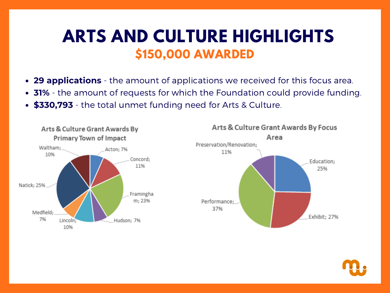#### **ARTS AND CULTURE HIGHLIGHTS \$150,000 AWARDED**

- **29 applications** the amount of applications we received for this focus area.
- **31%** the amount of requests for which the Foundation could provide funding.
- **\$330,793** the total unmet funding need for Arts & Culture.



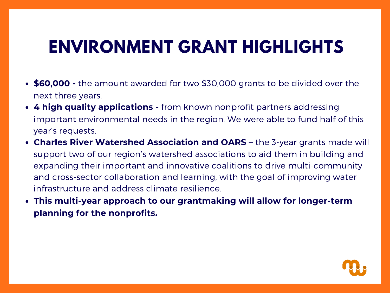## **ENVIRONMENT GRANT HIGHLIGHTS**

- **\$60,000 -** the amount awarded for two \$30,000 grants to be divided over the next three years.
- **4 high quality applications -** from known nonprofit partners addressing important environmental needs in the region. We were able to fund half of this year's requests.
- **Charles River Watershed Association and OARS –** the 3-year grants made will support two of our region's watershed associations to aid them in building and expanding their important and innovative coalitions to drive multi-community and cross-sector collaboration and learning, with the goal of improving water infrastructure and address climate resilience.
- **This multi-year approach to our grantmaking will allow for longer-term planning for the nonprofits.**

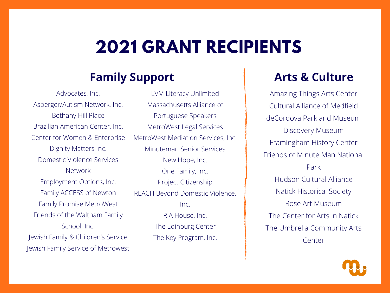## **2021 GRANT RECIPIENTS**

#### **Family Support**

Advocates, Inc. Asperger/Autism Network, Inc. Bethany Hill Place Brazilian American Center, Inc. Center for Women & Enterprise Dignity Matters Inc. Domestic Violence Services Network Employment Options, Inc. Family ACCESS of Newton Family Promise MetroWest Friends of the Waltham Family School, Inc. Jewish Family & Children's Service Jewish Family Service of Metrowest

LVM Literacy Unlimited Massachusetts Alliance of Portuguese Speakers MetroWest Legal Services MetroWest Mediation Services, Inc. Minuteman Senior Services New Hope, Inc. One Family, Inc. Project Citizenship REACH Beyond Domestic Violence, Inc. RIA House, Inc. The Edinburg Center The Key Program, Inc.

#### **Arts & Culture**

Amazing Things Arts Center Cultural Alliance of Medfield deCordova Park and Museum Discovery Museum Framingham History Center Friends of Minute Man National Park Hudson Cultural Alliance Natick Historical Society Rose Art Museum The Center for Arts in Natick The Umbrella Community Arts Center